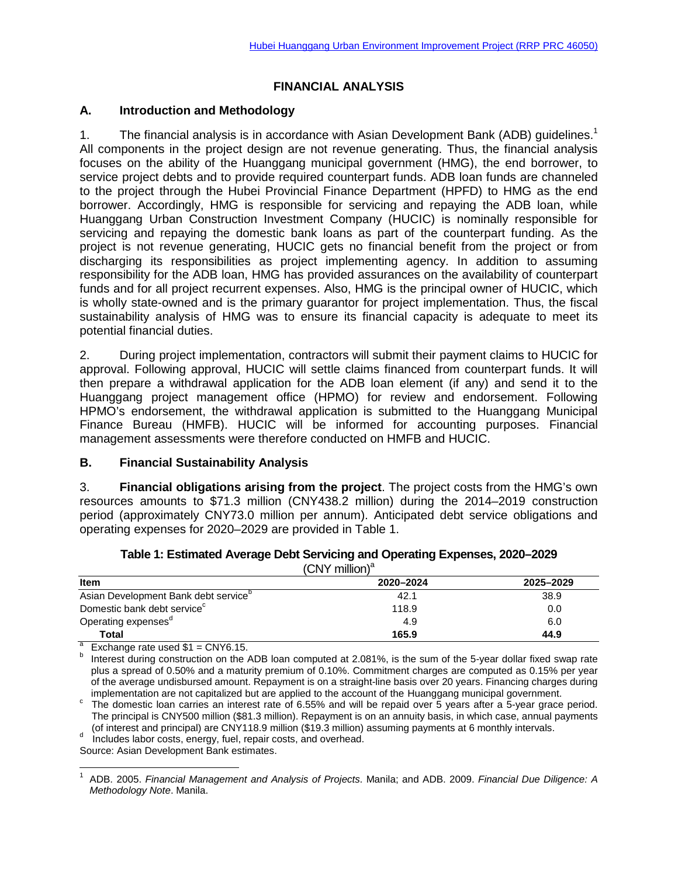## **FINANCIAL ANALYSIS**

### **A. Introduction and Methodology**

1. The financial analysis is in accordance with Asian Development Bank (ADB) quidelines.<sup>1</sup> All components in the project design are not revenue generating. Thus, the financial analysis focuses on the ability of the Huanggang municipal government (HMG), the end borrower, to service project debts and to provide required counterpart funds. ADB loan funds are channeled to the project through the Hubei Provincial Finance Department (HPFD) to HMG as the end borrower. Accordingly, HMG is responsible for servicing and repaying the ADB loan, while Huanggang Urban Construction Investment Company (HUCIC) is nominally responsible for servicing and repaying the domestic bank loans as part of the counterpart funding. As the project is not revenue generating, HUCIC gets no financial benefit from the project or from discharging its responsibilities as project implementing agency. In addition to assuming responsibility for the ADB loan, HMG has provided assurances on the availability of counterpart funds and for all project recurrent expenses. Also, HMG is the principal owner of HUCIC, which is wholly state-owned and is the primary guarantor for project implementation. Thus, the fiscal sustainability analysis of HMG was to ensure its financial capacity is adequate to meet its potential financial duties.

2. During project implementation, contractors will submit their payment claims to HUCIC for approval. Following approval, HUCIC will settle claims financed from counterpart funds. It will then prepare a withdrawal application for the ADB loan element (if any) and send it to the Huanggang project management office (HPMO) for review and endorsement. Following HPMO's endorsement, the withdrawal application is submitted to the Huanggang Municipal Finance Bureau (HMFB). HUCIC will be informed for accounting purposes. Financial management assessments were therefore conducted on HMFB and HUCIC.

## **B. Financial Sustainability Analysis**

3. **Financial obligations arising from the project**. The project costs from the HMG's own resources amounts to \$71.3 million (CNY438.2 million) during the 2014–2019 construction period (approximately CNY73.0 million per annum). Anticipated debt service obligations and operating expenses for 2020–2029 are provided in Table 1.

| $(CNY$ million) <sup>a</sup>            |           |           |  |  |  |
|-----------------------------------------|-----------|-----------|--|--|--|
| <b>Item</b>                             | 2020-2024 | 2025-2029 |  |  |  |
| Asian Development Bank debt service     | 42.1      | 38.9      |  |  |  |
| Domestic bank debt service <sup>c</sup> | 118.9     | 0.0       |  |  |  |
| Operating expenses <sup>a</sup>         | 4.9       | 6.0       |  |  |  |
| <b>Total</b>                            | 165.9     | 44.9      |  |  |  |

| Table 1: Estimated Average Debt Servicing and Operating Expenses, 2020–2029 |  |
|-----------------------------------------------------------------------------|--|
| $\sqrt{\frac{N}{N}}$ million) <sup>a</sup>                                  |  |

Exchange rate used \$1 = CNY6.15.<br>Interest during construction on the ADB loan computed at 2.081%, is the sum of the 5-year dollar fixed swap rate plus a spread of 0.50% and a maturity premium of 0.10%. Commitment charges are computed as 0.15% per year of the average undisbursed amount. Repayment is on a straight-line basis over 20 years. Financing charges during<br>implementation are not capitalized but are applied to the account of the Huanggang municipal government.

c implementation are not capitalized but are applied to the account of the Huanggang municipal government.<br><sup>c</sup> The domestic loan carries an interest rate of 6.55% and will be repaid over 5 years after a 5-year grace period The principal is CNY500 million (\$81.3 million). Repayment is on an annuity basis, in which case, annual payments (of interest and principal) are CNY118.9 million (\$19.3 million) assuming payments at 6 monthly intervals.

d Includes labor costs, energy, fuel, repair costs, and overhead.

Source: Asian Development Bank estimates.

 $\overline{\phantom{a}}$ 

<sup>1</sup> ADB. 2005. *Financial Management and Analysis of Projects*. Manila; and ADB. 2009. *Financial Due Diligence: A Methodology Note*. Manila.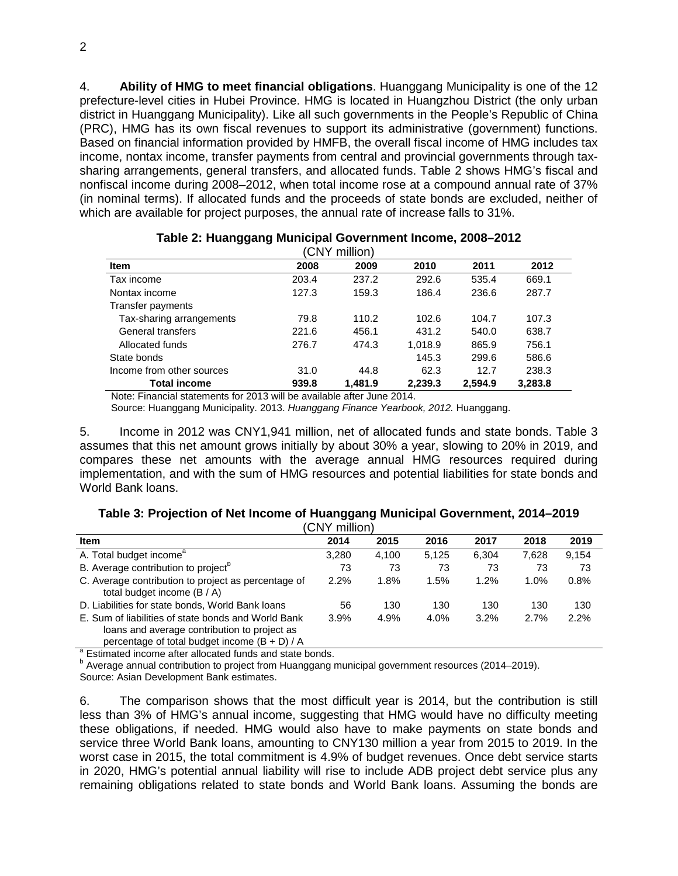4. **Ability of HMG to meet financial obligations**. Huanggang Municipality is one of the 12 prefecture-level cities in Hubei Province. HMG is located in Huangzhou District (the only urban district in Huanggang Municipality). Like all such governments in the People's Republic of China (PRC), HMG has its own fiscal revenues to support its administrative (government) functions. Based on financial information provided by HMFB, the overall fiscal income of HMG includes tax income, nontax income, transfer payments from central and provincial governments through taxsharing arrangements, general transfers, and allocated funds. Table 2 shows HMG's fiscal and nonfiscal income during 2008–2012, when total income rose at a compound annual rate of 37% (in nominal terms). If allocated funds and the proceeds of state bonds are excluded, neither of which are available for project purposes, the annual rate of increase falls to 31%.

| CNY million)              |       |         |         |         |         |  |  |
|---------------------------|-------|---------|---------|---------|---------|--|--|
| <b>Item</b>               | 2008  | 2009    | 2010    | 2011    | 2012    |  |  |
| Tax income                | 203.4 | 237.2   | 292.6   | 535.4   | 669.1   |  |  |
| Nontax income             | 127.3 | 159.3   | 186.4   | 236.6   | 287.7   |  |  |
| Transfer payments         |       |         |         |         |         |  |  |
| Tax-sharing arrangements  | 79.8  | 110.2   | 102.6   | 104.7   | 107.3   |  |  |
| General transfers         | 221.6 | 456.1   | 431.2   | 540.0   | 638.7   |  |  |
| Allocated funds           | 276.7 | 474.3   | 1.018.9 | 865.9   | 756.1   |  |  |
| State bonds               |       |         | 145.3   | 299.6   | 586.6   |  |  |
| Income from other sources | 31.0  | 44.8    | 62.3    | 12.7    | 238.3   |  |  |
| <b>Total income</b>       | 939.8 | 1.481.9 | 2,239.3 | 2,594.9 | 3,283.8 |  |  |

# **Table 2: Huanggang Municipal Government Income, 2008–2012**

Note: Financial statements for 2013 will be available after June 2014.

Source: Huanggang Municipality. 2013. *Huanggang Finance Yearbook, 2012.* Huanggang.

5. Income in 2012 was CNY1,941 million, net of allocated funds and state bonds. Table 3 assumes that this net amount grows initially by about 30% a year, slowing to 20% in 2019, and compares these net amounts with the average annual HMG resources required during implementation, and with the sum of HMG resources and potential liabilities for state bonds and World Bank loans.

#### **Table 3: Projection of Net Income of Huanggang Municipal Government, 2014–2019**  $(CN)$  million)

| <b>Item</b>                                                                                                                                            | (CNY MIIIION)<br>2014 | 2015  | 2016  | 2017  | 2018  | 2019  |
|--------------------------------------------------------------------------------------------------------------------------------------------------------|-----------------------|-------|-------|-------|-------|-------|
|                                                                                                                                                        |                       |       |       |       |       |       |
| A. Total budget income <sup>a</sup>                                                                                                                    | 3,280                 | 4.100 | 5.125 | 6.304 | 7.628 | 9,154 |
| B. Average contribution to project <sup>o</sup>                                                                                                        | 73                    | 73    | 73    | 73    | 73    | 73    |
| C. Average contribution to project as percentage of<br>total budget income $(B / A)$                                                                   | 2.2%                  | 1.8%  | 1.5%  | 1.2%  | 1.0%  | 0.8%  |
| D. Liabilities for state bonds, World Bank loans                                                                                                       | 56                    | 130   | 130   | 130   | 130   | 130   |
| E. Sum of liabilities of state bonds and World Bank<br>loans and average contribution to project as<br>percentage of total budget income $(B + D) / A$ | 3.9%                  | 4.9%  | 4.0%  | 3.2%  | 2.7%  | 2.2%  |

 $a<sup>a</sup>$  Estimated income after allocated funds and state bonds.<br> $b<sup>b</sup>$  Average annual contribution to project from Huanggang municipal government resources (2014–2019). Source: Asian Development Bank estimates.

6. The comparison shows that the most difficult year is 2014, but the contribution is still less than 3% of HMG's annual income, suggesting that HMG would have no difficulty meeting these obligations, if needed. HMG would also have to make payments on state bonds and service three World Bank loans, amounting to CNY130 million a year from 2015 to 2019. In the worst case in 2015, the total commitment is 4.9% of budget revenues. Once debt service starts in 2020, HMG's potential annual liability will rise to include ADB project debt service plus any remaining obligations related to state bonds and World Bank loans. Assuming the bonds are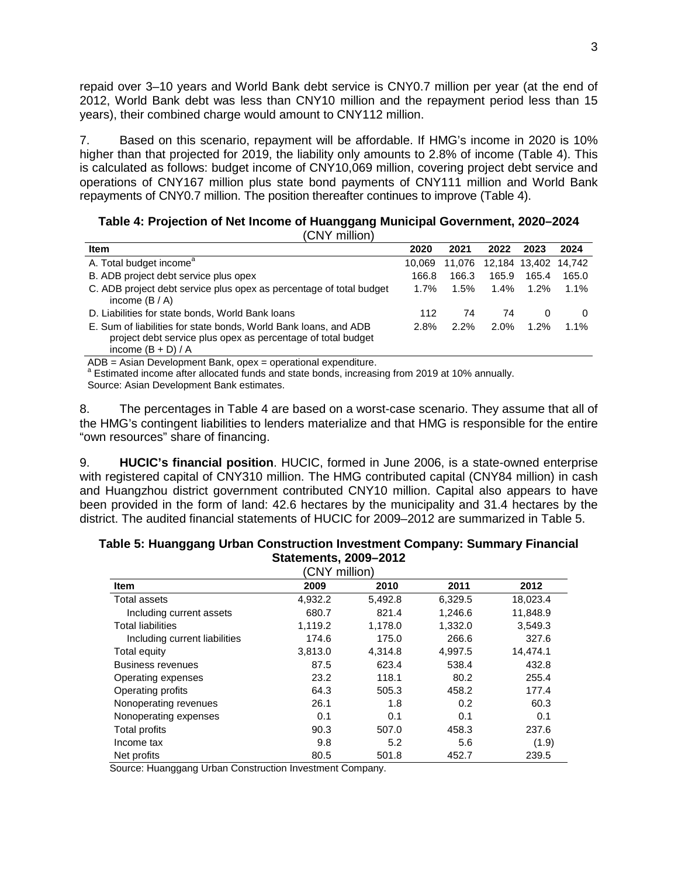repaid over 3–10 years and World Bank debt service is CNY0.7 million per year (at the end of 2012, World Bank debt was less than CNY10 million and the repayment period less than 15 years), their combined charge would amount to CNY112 million.

7. Based on this scenario, repayment will be affordable. If HMG's income in 2020 is 10% higher than that projected for 2019, the liability only amounts to 2.8% of income (Table 4). This is calculated as follows: budget income of CNY10,069 million, covering project debt service and operations of CNY167 million plus state bond payments of CNY111 million and World Bank repayments of CNY0.7 million. The position thereafter continues to improve (Table 4).

| Table 4: Projection of Net Income of Huanggang Municipal Government, 2020-2024 |  |  |  |
|--------------------------------------------------------------------------------|--|--|--|
|                                                                                |  |  |  |

(CNY million)

| <b>Item</b>                                                                                                                                              | 2020    | 2021   | 2022    | 2023          | 2024     |
|----------------------------------------------------------------------------------------------------------------------------------------------------------|---------|--------|---------|---------------|----------|
| A. Total budget income <sup>a</sup>                                                                                                                      | 10.069  | 11.076 |         | 12,184 13,402 | 14.742   |
| B. ADB project debt service plus opex                                                                                                                    | 166.8   | 166.3  | 165.9   | 165.4         | 165.0    |
| C. ADB project debt service plus opex as percentage of total budget<br>income $(B / A)$                                                                  | $1.7\%$ | 1.5%   | $1.4\%$ | $1.2\%$       | $1.1\%$  |
| D. Liabilities for state bonds, World Bank loans                                                                                                         | 112     | 74     | 74      | 0             | $\Omega$ |
| E. Sum of liabilities for state bonds, World Bank loans, and ADB<br>project debt service plus opex as percentage of total budget<br>income $(B + D) / A$ | 2.8%    | 2.2%   | $2.0\%$ | 1.2%          | $1.1\%$  |

ADB = Asian Development Bank, opex = operational expenditure.<br><sup>a</sup> Estimated income after allocated funds and state bonds, increasing from 2019 at 10% annually. Source: Asian Development Bank estimates.

8. The percentages in Table 4 are based on a worst-case scenario. They assume that all of the HMG's contingent liabilities to lenders materialize and that HMG is responsible for the entire "own resources" share of financing.

9. **HUCIC's financial position**. HUCIC, formed in June 2006, is a state-owned enterprise with registered capital of CNY310 million. The HMG contributed capital (CNY84 million) in cash and Huangzhou district government contributed CNY10 million. Capital also appears to have been provided in the form of land: 42.6 hectares by the municipality and 31.4 hectares by the district. The audited financial statements of HUCIC for 2009–2012 are summarized in Table 5.

## **Table 5: Huanggang Urban Construction Investment Company: Summary Financial Statements, 2009–2012**

| (CNY million)                 |         |         |         |          |  |  |  |
|-------------------------------|---------|---------|---------|----------|--|--|--|
| <b>Item</b>                   | 2009    | 2010    | 2011    | 2012     |  |  |  |
| Total assets                  | 4,932.2 | 5,492.8 | 6,329.5 | 18,023.4 |  |  |  |
| Including current assets      | 680.7   | 821.4   | 1,246.6 | 11,848.9 |  |  |  |
| <b>Total liabilities</b>      | 1,119.2 | 1,178.0 | 1,332.0 | 3,549.3  |  |  |  |
| Including current liabilities | 174.6   | 175.0   | 266.6   | 327.6    |  |  |  |
| Total equity                  | 3,813.0 | 4.314.8 | 4,997.5 | 14,474.1 |  |  |  |
| <b>Business revenues</b>      | 87.5    | 623.4   | 538.4   | 432.8    |  |  |  |
| Operating expenses            | 23.2    | 118.1   | 80.2    | 255.4    |  |  |  |
| Operating profits             | 64.3    | 505.3   | 458.2   | 177.4    |  |  |  |
| Nonoperating revenues         | 26.1    | 1.8     | 0.2     | 60.3     |  |  |  |
| Nonoperating expenses         | 0.1     | 0.1     | 0.1     | 0.1      |  |  |  |
| Total profits                 | 90.3    | 507.0   | 458.3   | 237.6    |  |  |  |
| Income tax                    | 9.8     | 5.2     | 5.6     | (1.9)    |  |  |  |
| Net profits                   | 80.5    | 501.8   | 452.7   | 239.5    |  |  |  |

Source: Huanggang Urban Construction Investment Company.